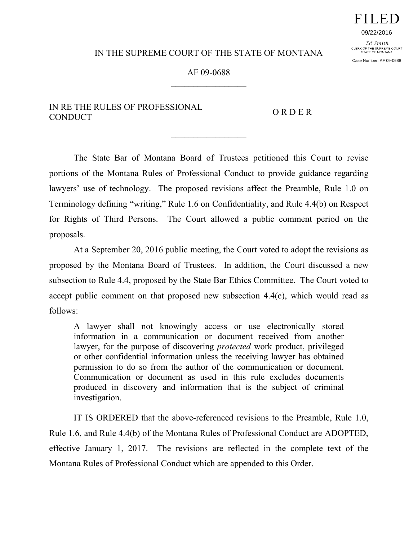# **FILED**

09/22/2016

F.d. Smith CLERK OF THE SUPREME COURT<br>STATE OF MONTANA Case Number: AF 09-0688

#### IN THE SUPREME COURT OF THE STATE OF MONTANA

AF 09-0688  $\frac{1}{2}$  ,  $\frac{1}{2}$  ,  $\frac{1}{2}$  ,  $\frac{1}{2}$  ,  $\frac{1}{2}$  ,  $\frac{1}{2}$  ,  $\frac{1}{2}$  ,  $\frac{1}{2}$  ,  $\frac{1}{2}$ 

#### IN RE THE RULES OF PROFESSIONAL CONDUCT CONDUCT CONDUCT

The State Bar of Montana Board of Trustees petitioned this Court to revise portions of the Montana Rules of Professional Conduct to provide guidance regarding lawyers' use of technology. The proposed revisions affect the Preamble, Rule 1.0 on Terminology defining "writing," Rule 1.6 on Confidentiality, and Rule 4.4(b) on Respect for Rights of Third Persons. The Court allowed a public comment period on the proposals.

At a September 20, 2016 public meeting, the Court voted to adopt the revisions as proposed by the Montana Board of Trustees. In addition, the Court discussed a new subsection to Rule 4.4, proposed by the State Bar Ethics Committee. The Court voted to accept public comment on that proposed new subsection 4.4(c), which would read as follows:

A lawyer shall not knowingly access or use electronically stored information in a communication or document received from another lawyer, for the purpose of discovering *protected* work product, privileged or other confidential information unless the receiving lawyer has obtained permission to do so from the author of the communication or document. Communication or document as used in this rule excludes documents produced in discovery and information that is the subject of criminal investigation.

IT IS ORDERED that the above-referenced revisions to the Preamble, Rule 1.0, Rule 1.6, and Rule 4.4(b) of the Montana Rules of Professional Conduct are ADOPTED, effective January 1, 2017. The revisions are reflected in the complete text of the Montana Rules of Professional Conduct which are appended to this Order.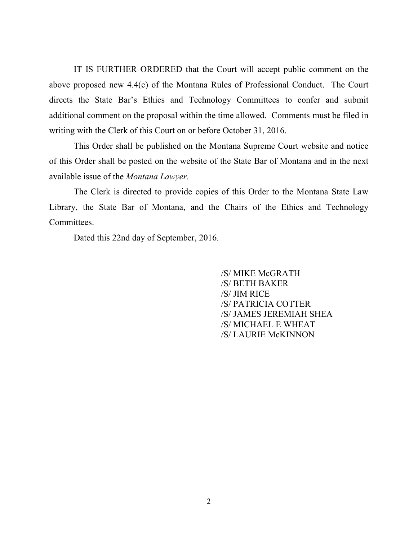IT IS FURTHER ORDERED that the Court will accept public comment on the above proposed new 4.4(c) of the Montana Rules of Professional Conduct. The Court directs the State Bar's Ethics and Technology Committees to confer and submit additional comment on the proposal within the time allowed. Comments must be filed in writing with the Clerk of this Court on or before October 31, 2016.

This Order shall be published on the Montana Supreme Court website and notice of this Order shall be posted on the website of the State Bar of Montana and in the next available issue of the *Montana Lawyer.*

The Clerk is directed to provide copies of this Order to the Montana State Law Library, the State Bar of Montana, and the Chairs of the Ethics and Technology Committees.

Dated this 22nd day of September, 2016.

/S/ MIKE McGRATH /S/ BETH BAKER /S/ JIM RICE /S/ PATRICIA COTTER /S/ JAMES JEREMIAH SHEA /S/ MICHAEL E WHEAT /S/ LAURIE McKINNON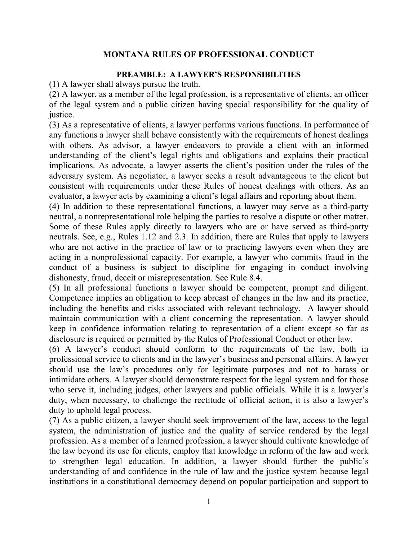### **MONTANA RULES OF PROFESSIONAL CONDUCT**

#### **PREAMBLE: A LAWYER'S RESPONSIBILITIES**

(1) A lawyer shall always pursue the truth.

(2) A lawyer, as a member of the legal profession, is a representative of clients, an officer of the legal system and a public citizen having special responsibility for the quality of justice.

(3) As a representative of clients, a lawyer performs various functions. In performance of any functions a lawyer shall behave consistently with the requirements of honest dealings with others. As advisor, a lawyer endeavors to provide a client with an informed understanding of the client's legal rights and obligations and explains their practical implications. As advocate, a lawyer asserts the client's position under the rules of the adversary system. As negotiator, a lawyer seeks a result advantageous to the client but consistent with requirements under these Rules of honest dealings with others. As an evaluator, a lawyer acts by examining a client's legal affairs and reporting about them.

(4) In addition to these representational functions, a lawyer may serve as a third-party neutral, a nonrepresentational role helping the parties to resolve a dispute or other matter. Some of these Rules apply directly to lawyers who are or have served as third-party neutrals. See, e.g., Rules 1.12 and 2.3. In addition, there are Rules that apply to lawyers who are not active in the practice of law or to practicing lawyers even when they are acting in a nonprofessional capacity. For example, a lawyer who commits fraud in the conduct of a business is subject to discipline for engaging in conduct involving dishonesty, fraud, deceit or misrepresentation. See Rule 8.4.

(5) In all professional functions a lawyer should be competent, prompt and diligent. Competence implies an obligation to keep abreast of changes in the law and its practice, including the benefits and risks associated with relevant technology. A lawyer should maintain communication with a client concerning the representation. A lawyer should keep in confidence information relating to representation of a client except so far as disclosure is required or permitted by the Rules of Professional Conduct or other law.

(6) A lawyer's conduct should conform to the requirements of the law, both in professional service to clients and in the lawyer's business and personal affairs. A lawyer should use the law's procedures only for legitimate purposes and not to harass or intimidate others. A lawyer should demonstrate respect for the legal system and for those who serve it, including judges, other lawyers and public officials. While it is a lawyer's duty, when necessary, to challenge the rectitude of official action, it is also a lawyer's duty to uphold legal process.

(7) As a public citizen, a lawyer should seek improvement of the law, access to the legal system, the administration of justice and the quality of service rendered by the legal profession. As a member of a learned profession, a lawyer should cultivate knowledge of the law beyond its use for clients, employ that knowledge in reform of the law and work to strengthen legal education. In addition, a lawyer should further the public's understanding of and confidence in the rule of law and the justice system because legal institutions in a constitutional democracy depend on popular participation and support to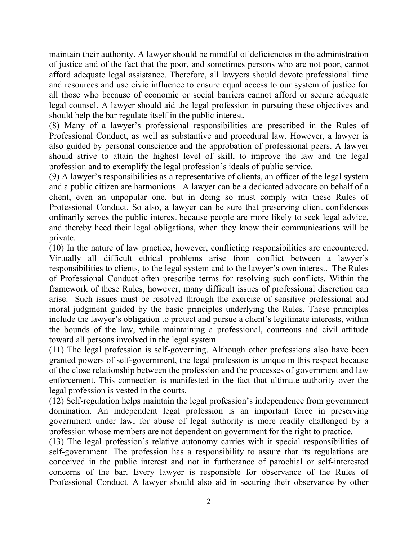maintain their authority. A lawyer should be mindful of deficiencies in the administration of justice and of the fact that the poor, and sometimes persons who are not poor, cannot afford adequate legal assistance. Therefore, all lawyers should devote professional time and resources and use civic influence to ensure equal access to our system of justice for all those who because of economic or social barriers cannot afford or secure adequate legal counsel. A lawyer should aid the legal profession in pursuing these objectives and should help the bar regulate itself in the public interest.

(8) Many of a lawyer's professional responsibilities are prescribed in the Rules of Professional Conduct, as well as substantive and procedural law. However, a lawyer is also guided by personal conscience and the approbation of professional peers. A lawyer should strive to attain the highest level of skill, to improve the law and the legal profession and to exemplify the legal profession's ideals of public service.

(9) A lawyer's responsibilities as a representative of clients, an officer of the legal system and a public citizen are harmonious. A lawyer can be a dedicated advocate on behalf of a client, even an unpopular one, but in doing so must comply with these Rules of Professional Conduct. So also, a lawyer can be sure that preserving client confidences ordinarily serves the public interest because people are more likely to seek legal advice, and thereby heed their legal obligations, when they know their communications will be private.

(10) In the nature of law practice, however, conflicting responsibilities are encountered. Virtually all difficult ethical problems arise from conflict between a lawyer's responsibilities to clients, to the legal system and to the lawyer's own interest. The Rules of Professional Conduct often prescribe terms for resolving such conflicts. Within the framework of these Rules, however, many difficult issues of professional discretion can arise. Such issues must be resolved through the exercise of sensitive professional and moral judgment guided by the basic principles underlying the Rules. These principles include the lawyer's obligation to protect and pursue a client's legitimate interests, within the bounds of the law, while maintaining a professional, courteous and civil attitude toward all persons involved in the legal system.

(11) The legal profession is self-governing. Although other professions also have been granted powers of self-government, the legal profession is unique in this respect because of the close relationship between the profession and the processes of government and law enforcement. This connection is manifested in the fact that ultimate authority over the legal profession is vested in the courts.

(12) Self-regulation helps maintain the legal profession's independence from government domination. An independent legal profession is an important force in preserving government under law, for abuse of legal authority is more readily challenged by a profession whose members are not dependent on government for the right to practice.

(13) The legal profession's relative autonomy carries with it special responsibilities of self-government. The profession has a responsibility to assure that its regulations are conceived in the public interest and not in furtherance of parochial or self-interested concerns of the bar. Every lawyer is responsible for observance of the Rules of Professional Conduct. A lawyer should also aid in securing their observance by other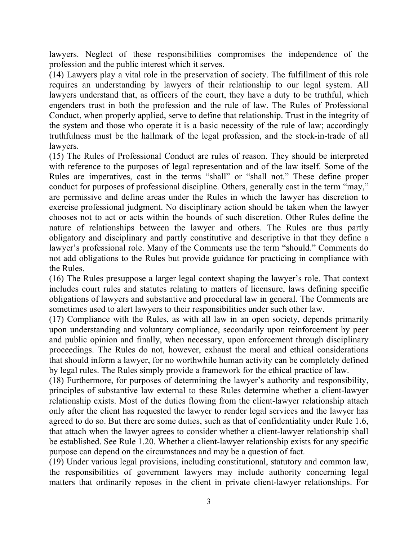lawyers. Neglect of these responsibilities compromises the independence of the profession and the public interest which it serves.

(14) Lawyers play a vital role in the preservation of society. The fulfillment of this role requires an understanding by lawyers of their relationship to our legal system. All lawyers understand that, as officers of the court, they have a duty to be truthful, which engenders trust in both the profession and the rule of law. The Rules of Professional Conduct, when properly applied, serve to define that relationship. Trust in the integrity of the system and those who operate it is a basic necessity of the rule of law; accordingly truthfulness must be the hallmark of the legal profession, and the stock-in-trade of all lawyers.

(15) The Rules of Professional Conduct are rules of reason. They should be interpreted with reference to the purposes of legal representation and of the law itself. Some of the Rules are imperatives, cast in the terms "shall" or "shall not." These define proper conduct for purposes of professional discipline. Others, generally cast in the term "may," are permissive and define areas under the Rules in which the lawyer has discretion to exercise professional judgment. No disciplinary action should be taken when the lawyer chooses not to act or acts within the bounds of such discretion. Other Rules define the nature of relationships between the lawyer and others. The Rules are thus partly obligatory and disciplinary and partly constitutive and descriptive in that they define a lawyer's professional role. Many of the Comments use the term "should." Comments do not add obligations to the Rules but provide guidance for practicing in compliance with the Rules.

(16) The Rules presuppose a larger legal context shaping the lawyer's role. That context includes court rules and statutes relating to matters of licensure, laws defining specific obligations of lawyers and substantive and procedural law in general. The Comments are sometimes used to alert lawyers to their responsibilities under such other law.

(17) Compliance with the Rules, as with all law in an open society, depends primarily upon understanding and voluntary compliance, secondarily upon reinforcement by peer and public opinion and finally, when necessary, upon enforcement through disciplinary proceedings. The Rules do not, however, exhaust the moral and ethical considerations that should inform a lawyer, for no worthwhile human activity can be completely defined by legal rules. The Rules simply provide a framework for the ethical practice of law.

(18) Furthermore, for purposes of determining the lawyer's authority and responsibility, principles of substantive law external to these Rules determine whether a client-lawyer relationship exists. Most of the duties flowing from the client-lawyer relationship attach only after the client has requested the lawyer to render legal services and the lawyer has agreed to do so. But there are some duties, such as that of confidentiality under Rule 1.6, that attach when the lawyer agrees to consider whether a client-lawyer relationship shall be established. See Rule 1.20. Whether a client-lawyer relationship exists for any specific purpose can depend on the circumstances and may be a question of fact.

(19) Under various legal provisions, including constitutional, statutory and common law, the responsibilities of government lawyers may include authority concerning legal matters that ordinarily reposes in the client in private client-lawyer relationships. For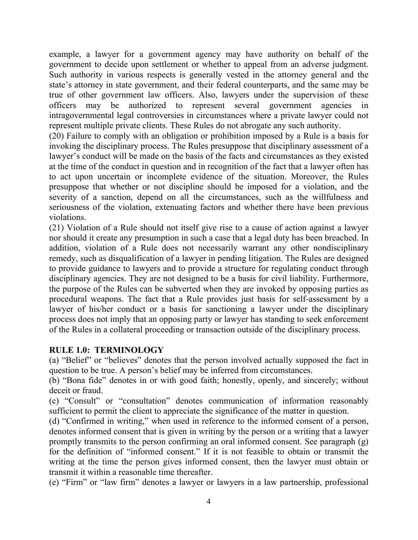example, a lawyer for a government agency may have authority on behalf of the government to decide upon settlement or whether to appeal from an adverse judgment. Such authority in various respects is generally vested in the attorney general and the state's attorney in state government, and their federal counterparts, and the same may be true of other government law officers. Also, lawyers under the supervision of these officers may be authorized to represent several government agencies in intragovernmental legal controversies in circumstances where a private lawyer could not represent multiple private clients. These Rules do not abrogate any such authority.

(20) Failure to comply with an obligation or prohibition imposed by a Rule is a basis for invoking the disciplinary process. The Rules presuppose that disciplinary assessment of a lawyer's conduct will be made on the basis of the facts and circumstances as they existed at the time of the conduct in question and in recognition of the fact that a lawyer often has to act upon uncertain or incomplete evidence of the situation. Moreover, the Rules presuppose that whether or not discipline should be imposed for a violation, and the severity of a sanction, depend on all the circumstances, such as the willfulness and seriousness of the violation, extenuating factors and whether there have been previous violations.

(21) Violation of a Rule should not itself give rise to a cause of action against a lawyer nor should it create any presumption in such a case that a legal duty has been breached. In addition, violation of a Rule does not necessarily warrant any other nondisciplinary remedy, such as disqualification of a lawyer in pending litigation. The Rules are designed to provide guidance to lawyers and to provide a structure for regulating conduct through disciplinary agencies. They are not designed to be a basis for civil liability. Furthermore, the purpose of the Rules can be subverted when they are invoked by opposing parties as procedural weapons. The fact that a Rule provides just basis for self-assessment by a lawyer of his/her conduct or a basis for sanctioning a lawyer under the disciplinary process does not imply that an opposing party or lawyer has standing to seek enforcement of the Rules in a collateral proceeding or transaction outside of the disciplinary process.

# **RULE 1.0: TERMINOLOGY**

(a) "Belief" or "believes" denotes that the person involved actually supposed the fact in question to be true. A person's belief may be inferred from circumstances.

(b) "Bona fide" denotes in or with good faith; honestly, openly, and sincerely; without deceit or fraud.

(c) "Consult" or "consultation" denotes communication of information reasonably sufficient to permit the client to appreciate the significance of the matter in question.

(d) "Confirmed in writing," when used in reference to the informed consent of a person, denotes informed consent that is given in writing by the person or a writing that a lawyer promptly transmits to the person confirming an oral informed consent. See paragraph (g) for the definition of "informed consent." If it is not feasible to obtain or transmit the writing at the time the person gives informed consent, then the lawyer must obtain or transmit it within a reasonable time thereafter.

(e) "Firm" or "law firm" denotes a lawyer or lawyers in a law partnership, professional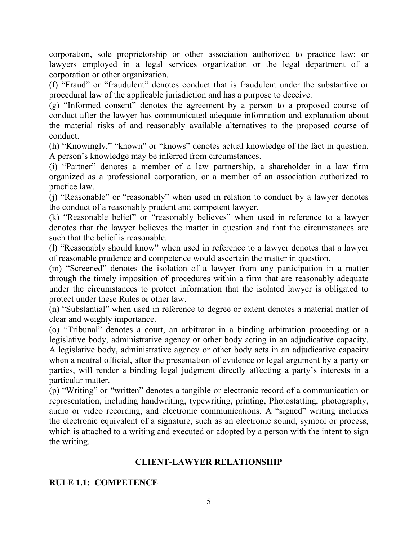corporation, sole proprietorship or other association authorized to practice law; or lawyers employed in a legal services organization or the legal department of a corporation or other organization.

(f) "Fraud" or "fraudulent" denotes conduct that is fraudulent under the substantive or procedural law of the applicable jurisdiction and has a purpose to deceive.

(g) "Informed consent" denotes the agreement by a person to a proposed course of conduct after the lawyer has communicated adequate information and explanation about the material risks of and reasonably available alternatives to the proposed course of conduct.

(h) "Knowingly," "known" or "knows" denotes actual knowledge of the fact in question. A person's knowledge may be inferred from circumstances.

(i) "Partner" denotes a member of a law partnership, a shareholder in a law firm organized as a professional corporation, or a member of an association authorized to practice law.

(j) "Reasonable" or "reasonably" when used in relation to conduct by a lawyer denotes the conduct of a reasonably prudent and competent lawyer.

(k) "Reasonable belief" or "reasonably believes" when used in reference to a lawyer denotes that the lawyer believes the matter in question and that the circumstances are such that the belief is reasonable.

(l) "Reasonably should know" when used in reference to a lawyer denotes that a lawyer of reasonable prudence and competence would ascertain the matter in question.

(m) "Screened" denotes the isolation of a lawyer from any participation in a matter through the timely imposition of procedures within a firm that are reasonably adequate under the circumstances to protect information that the isolated lawyer is obligated to protect under these Rules or other law.

(n) "Substantial" when used in reference to degree or extent denotes a material matter of clear and weighty importance.

(o) "Tribunal" denotes a court, an arbitrator in a binding arbitration proceeding or a legislative body, administrative agency or other body acting in an adjudicative capacity. A legislative body, administrative agency or other body acts in an adjudicative capacity when a neutral official, after the presentation of evidence or legal argument by a party or parties, will render a binding legal judgment directly affecting a party's interests in a particular matter.

(p) "Writing" or "written" denotes a tangible or electronic record of a communication or representation, including handwriting, typewriting, printing, Photostatting, photography, audio or video recording, and electronic communications. A "signed" writing includes the electronic equivalent of a signature, such as an electronic sound, symbol or process, which is attached to a writing and executed or adopted by a person with the intent to sign the writing.

# **CLIENT-LAWYER RELATIONSHIP**

#### **RULE 1.1: COMPETENCE**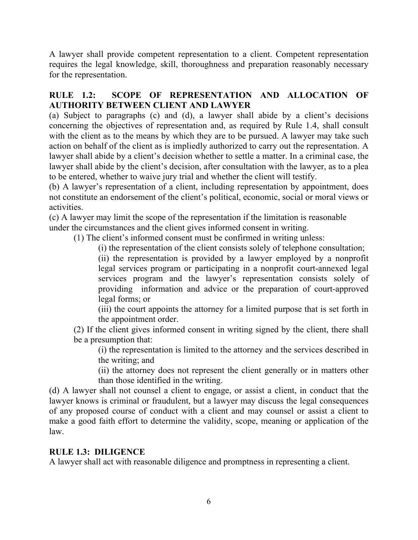A lawyer shall provide competent representation to a client. Competent representation requires the legal knowledge, skill, thoroughness and preparation reasonably necessary for the representation.

### **RULE 1.2: SCOPE OF REPRESENTATION AND ALLOCATION OF AUTHORITY BETWEEN CLIENT AND LAWYER**

(a) Subject to paragraphs (c) and (d), a lawyer shall abide by a client's decisions concerning the objectives of representation and, as required by Rule 1.4, shall consult with the client as to the means by which they are to be pursued. A lawyer may take such action on behalf of the client as is impliedly authorized to carry out the representation. A lawyer shall abide by a client's decision whether to settle a matter. In a criminal case, the lawyer shall abide by the client's decision, after consultation with the lawyer, as to a plea to be entered, whether to waive jury trial and whether the client will testify.

(b) A lawyer's representation of a client, including representation by appointment, does not constitute an endorsement of the client's political, economic, social or moral views or activities.

(c) A lawyer may limit the scope of the representation if the limitation is reasonable under the circumstances and the client gives informed consent in writing.

(1) The client's informed consent must be confirmed in writing unless:

(i) the representation of the client consists solely of telephone consultation;

(ii) the representation is provided by a lawyer employed by a nonprofit legal services program or participating in a nonprofit court-annexed legal services program and the lawyer's representation consists solely of providing information and advice or the preparation of court-approved legal forms; or

(iii) the court appoints the attorney for a limited purpose that is set forth in the appointment order.

(2) If the client gives informed consent in writing signed by the client, there shall be a presumption that:

(i) the representation is limited to the attorney and the services described in the writing; and

(ii) the attorney does not represent the client generally or in matters other than those identified in the writing.

(d) A lawyer shall not counsel a client to engage, or assist a client, in conduct that the lawyer knows is criminal or fraudulent, but a lawyer may discuss the legal consequences of any proposed course of conduct with a client and may counsel or assist a client to make a good faith effort to determine the validity, scope, meaning or application of the law.

# **RULE 1.3: DILIGENCE**

A lawyer shall act with reasonable diligence and promptness in representing a client.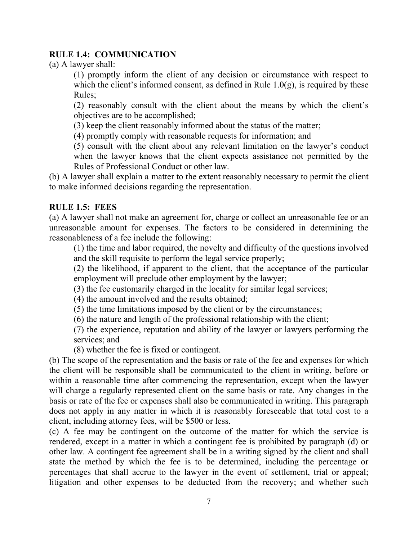### **RULE 1.4: COMMUNICATION**

(a) A lawyer shall:

(1) promptly inform the client of any decision or circumstance with respect to which the client's informed consent, as defined in Rule  $1.0(g)$ , is required by these Rules;

(2) reasonably consult with the client about the means by which the client's objectives are to be accomplished;

(3) keep the client reasonably informed about the status of the matter;

(4) promptly comply with reasonable requests for information; and

(5) consult with the client about any relevant limitation on the lawyer's conduct when the lawyer knows that the client expects assistance not permitted by the Rules of Professional Conduct or other law.

(b) A lawyer shall explain a matter to the extent reasonably necessary to permit the client to make informed decisions regarding the representation.

#### **RULE 1.5: FEES**

(a) A lawyer shall not make an agreement for, charge or collect an unreasonable fee or an unreasonable amount for expenses. The factors to be considered in determining the reasonableness of a fee include the following:

(1) the time and labor required, the novelty and difficulty of the questions involved and the skill requisite to perform the legal service properly;

(2) the likelihood, if apparent to the client, that the acceptance of the particular employment will preclude other employment by the lawyer;

(3) the fee customarily charged in the locality for similar legal services;

(4) the amount involved and the results obtained;

(5) the time limitations imposed by the client or by the circumstances;

(6) the nature and length of the professional relationship with the client;

(7) the experience, reputation and ability of the lawyer or lawyers performing the services; and

(8) whether the fee is fixed or contingent.

(b) The scope of the representation and the basis or rate of the fee and expenses for which the client will be responsible shall be communicated to the client in writing, before or within a reasonable time after commencing the representation, except when the lawyer will charge a regularly represented client on the same basis or rate. Any changes in the basis or rate of the fee or expenses shall also be communicated in writing. This paragraph does not apply in any matter in which it is reasonably foreseeable that total cost to a client, including attorney fees, will be \$500 or less.

(c) A fee may be contingent on the outcome of the matter for which the service is rendered, except in a matter in which a contingent fee is prohibited by paragraph (d) or other law. A contingent fee agreement shall be in a writing signed by the client and shall state the method by which the fee is to be determined, including the percentage or percentages that shall accrue to the lawyer in the event of settlement, trial or appeal; litigation and other expenses to be deducted from the recovery; and whether such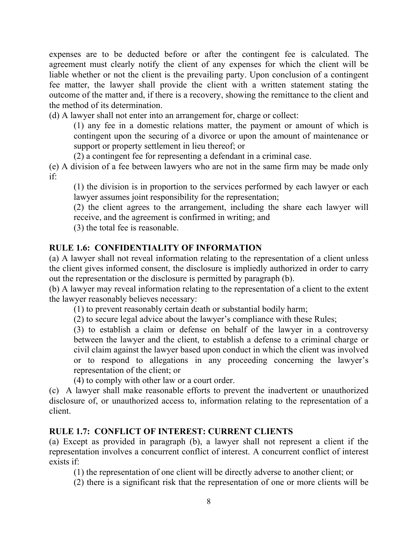expenses are to be deducted before or after the contingent fee is calculated. The agreement must clearly notify the client of any expenses for which the client will be liable whether or not the client is the prevailing party. Upon conclusion of a contingent fee matter, the lawyer shall provide the client with a written statement stating the outcome of the matter and, if there is a recovery, showing the remittance to the client and the method of its determination.

(d) A lawyer shall not enter into an arrangement for, charge or collect:

(1) any fee in a domestic relations matter, the payment or amount of which is contingent upon the securing of a divorce or upon the amount of maintenance or support or property settlement in lieu thereof; or

(2) a contingent fee for representing a defendant in a criminal case.

(e) A division of a fee between lawyers who are not in the same firm may be made only if:

(1) the division is in proportion to the services performed by each lawyer or each lawyer assumes joint responsibility for the representation;

(2) the client agrees to the arrangement, including the share each lawyer will receive, and the agreement is confirmed in writing; and

(3) the total fee is reasonable.

# **RULE 1.6: CONFIDENTIALITY OF INFORMATION**

(a) A lawyer shall not reveal information relating to the representation of a client unless the client gives informed consent, the disclosure is impliedly authorized in order to carry out the representation or the disclosure is permitted by paragraph (b).

(b) A lawyer may reveal information relating to the representation of a client to the extent the lawyer reasonably believes necessary:

(1) to prevent reasonably certain death or substantial bodily harm;

(2) to secure legal advice about the lawyer's compliance with these Rules;

(3) to establish a claim or defense on behalf of the lawyer in a controversy between the lawyer and the client, to establish a defense to a criminal charge or civil claim against the lawyer based upon conduct in which the client was involved or to respond to allegations in any proceeding concerning the lawyer's representation of the client; or

(4) to comply with other law or a court order.

(c) A lawyer shall make reasonable efforts to prevent the inadvertent or unauthorized disclosure of, or unauthorized access to, information relating to the representation of a client.

#### **RULE 1.7: CONFLICT OF INTEREST: CURRENT CLIENTS**

(a) Except as provided in paragraph (b), a lawyer shall not represent a client if the representation involves a concurrent conflict of interest. A concurrent conflict of interest exists if:

(1) the representation of one client will be directly adverse to another client; or

(2) there is a significant risk that the representation of one or more clients will be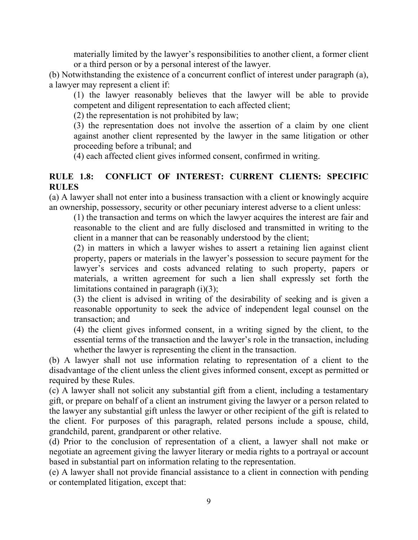materially limited by the lawyer's responsibilities to another client, a former client or a third person or by a personal interest of the lawyer.

(b) Notwithstanding the existence of a concurrent conflict of interest under paragraph (a), a lawyer may represent a client if:

(1) the lawyer reasonably believes that the lawyer will be able to provide competent and diligent representation to each affected client;

(2) the representation is not prohibited by law;

(3) the representation does not involve the assertion of a claim by one client against another client represented by the lawyer in the same litigation or other proceeding before a tribunal; and

(4) each affected client gives informed consent, confirmed in writing.

# **RULE 1.8: CONFLICT OF INTEREST: CURRENT CLIENTS: SPECIFIC RULES**

(a) A lawyer shall not enter into a business transaction with a client or knowingly acquire an ownership, possessory, security or other pecuniary interest adverse to a client unless:

(1) the transaction and terms on which the lawyer acquires the interest are fair and reasonable to the client and are fully disclosed and transmitted in writing to the client in a manner that can be reasonably understood by the client;

(2) in matters in which a lawyer wishes to assert a retaining lien against client property, papers or materials in the lawyer's possession to secure payment for the lawyer's services and costs advanced relating to such property, papers or materials, a written agreement for such a lien shall expressly set forth the limitations contained in paragraph (i)(3);

(3) the client is advised in writing of the desirability of seeking and is given a reasonable opportunity to seek the advice of independent legal counsel on the transaction; and

(4) the client gives informed consent, in a writing signed by the client, to the essential terms of the transaction and the lawyer's role in the transaction, including whether the lawyer is representing the client in the transaction.

(b) A lawyer shall not use information relating to representation of a client to the disadvantage of the client unless the client gives informed consent, except as permitted or required by these Rules.

(c) A lawyer shall not solicit any substantial gift from a client, including a testamentary gift, or prepare on behalf of a client an instrument giving the lawyer or a person related to the lawyer any substantial gift unless the lawyer or other recipient of the gift is related to the client. For purposes of this paragraph, related persons include a spouse, child, grandchild, parent, grandparent or other relative.

(d) Prior to the conclusion of representation of a client, a lawyer shall not make or negotiate an agreement giving the lawyer literary or media rights to a portrayal or account based in substantial part on information relating to the representation.

(e) A lawyer shall not provide financial assistance to a client in connection with pending or contemplated litigation, except that: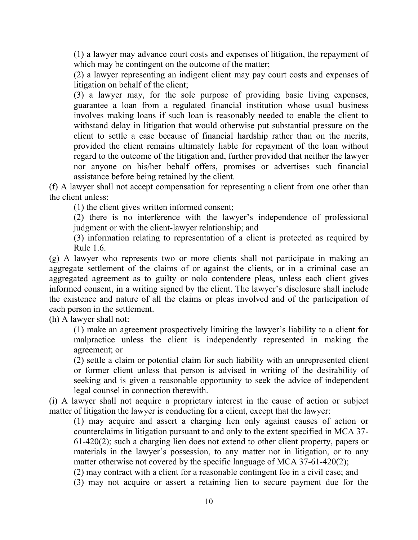(1) a lawyer may advance court costs and expenses of litigation, the repayment of which may be contingent on the outcome of the matter;

(2) a lawyer representing an indigent client may pay court costs and expenses of litigation on behalf of the client;

(3) a lawyer may, for the sole purpose of providing basic living expenses, guarantee a loan from a regulated financial institution whose usual business involves making loans if such loan is reasonably needed to enable the client to withstand delay in litigation that would otherwise put substantial pressure on the client to settle a case because of financial hardship rather than on the merits, provided the client remains ultimately liable for repayment of the loan without regard to the outcome of the litigation and, further provided that neither the lawyer nor anyone on his/her behalf offers, promises or advertises such financial assistance before being retained by the client.

(f) A lawyer shall not accept compensation for representing a client from one other than the client unless:

(1) the client gives written informed consent;

(2) there is no interference with the lawyer's independence of professional judgment or with the client-lawyer relationship; and

(3) information relating to representation of a client is protected as required by Rule 1.6.

(g) A lawyer who represents two or more clients shall not participate in making an aggregate settlement of the claims of or against the clients, or in a criminal case an aggregated agreement as to guilty or nolo contendere pleas, unless each client gives informed consent, in a writing signed by the client. The lawyer's disclosure shall include the existence and nature of all the claims or pleas involved and of the participation of each person in the settlement.

(h) A lawyer shall not:

(1) make an agreement prospectively limiting the lawyer's liability to a client for malpractice unless the client is independently represented in making the agreement; or

(2) settle a claim or potential claim for such liability with an unrepresented client or former client unless that person is advised in writing of the desirability of seeking and is given a reasonable opportunity to seek the advice of independent legal counsel in connection therewith.

(i) A lawyer shall not acquire a proprietary interest in the cause of action or subject matter of litigation the lawyer is conducting for a client, except that the lawyer:

(1) may acquire and assert a charging lien only against causes of action or counterclaims in litigation pursuant to and only to the extent specified in MCA 37- 61-420(2); such a charging lien does not extend to other client property, papers or materials in the lawyer's possession, to any matter not in litigation, or to any matter otherwise not covered by the specific language of MCA 37-61-420(2);

(2) may contract with a client for a reasonable contingent fee in a civil case; and

(3) may not acquire or assert a retaining lien to secure payment due for the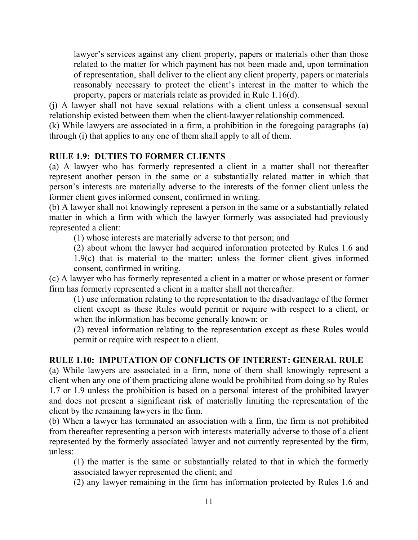lawyer's services against any client property, papers or materials other than those related to the matter for which payment has not been made and, upon termination of representation, shall deliver to the client any client property, papers or materials reasonably necessary to protect the client's interest in the matter to which the property, papers or materials relate as provided in Rule 1.16(d).

(j) A lawyer shall not have sexual relations with a client unless a consensual sexual relationship existed between them when the client-lawyer relationship commenced.

(k) While lawyers are associated in a firm, a prohibition in the foregoing paragraphs (a) through (i) that applies to any one of them shall apply to all of them.

### **RULE 1.9: DUTIES TO FORMER CLIENTS**

(a) A lawyer who has formerly represented a client in a matter shall not thereafter represent another person in the same or a substantially related matter in which that person's interests are materially adverse to the interests of the former client unless the former client gives informed consent, confirmed in writing.

(b) A lawyer shall not knowingly represent a person in the same or a substantially related matter in which a firm with which the lawyer formerly was associated had previously represented a client:

(1) whose interests are materially adverse to that person; and

(2) about whom the lawyer had acquired information protected by Rules 1.6 and 1.9(c) that is material to the matter; unless the former client gives informed consent, confirmed in writing.

(c) A lawyer who has formerly represented a client in a matter or whose present or former firm has formerly represented a client in a matter shall not thereafter:

(1) use information relating to the representation to the disadvantage of the former client except as these Rules would permit or require with respect to a client, or when the information has become generally known; or

(2) reveal information relating to the representation except as these Rules would permit or require with respect to a client.

# **RULE 1.10: IMPUTATION OF CONFLICTS OF INTEREST: GENERAL RULE**

(a) While lawyers are associated in a firm, none of them shall knowingly represent a client when any one of them practicing alone would be prohibited from doing so by Rules 1.7 or 1.9 unless the prohibition is based on a personal interest of the prohibited lawyer and does not present a significant risk of materially limiting the representation of the client by the remaining lawyers in the firm.

(b) When a lawyer has terminated an association with a firm, the firm is not prohibited from thereafter representing a person with interests materially adverse to those of a client represented by the formerly associated lawyer and not currently represented by the firm, unless:

(1) the matter is the same or substantially related to that in which the formerly associated lawyer represented the client; and

(2) any lawyer remaining in the firm has information protected by Rules 1.6 and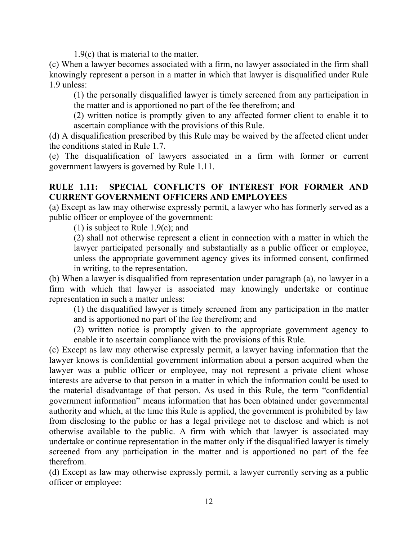1.9(c) that is material to the matter.

(c) When a lawyer becomes associated with a firm, no lawyer associated in the firm shall knowingly represent a person in a matter in which that lawyer is disqualified under Rule 1.9 unless:

(1) the personally disqualified lawyer is timely screened from any participation in the matter and is apportioned no part of the fee therefrom; and

(2) written notice is promptly given to any affected former client to enable it to ascertain compliance with the provisions of this Rule.

(d) A disqualification prescribed by this Rule may be waived by the affected client under the conditions stated in Rule 1.7.

(e) The disqualification of lawyers associated in a firm with former or current government lawyers is governed by Rule 1.11.

### **RULE 1.11: SPECIAL CONFLICTS OF INTEREST FOR FORMER AND CURRENT GOVERNMENT OFFICERS AND EMPLOYEES**

(a) Except as law may otherwise expressly permit, a lawyer who has formerly served as a public officer or employee of the government:

(1) is subject to Rule 1.9(c); and

(2) shall not otherwise represent a client in connection with a matter in which the lawyer participated personally and substantially as a public officer or employee, unless the appropriate government agency gives its informed consent, confirmed in writing, to the representation.

(b) When a lawyer is disqualified from representation under paragraph (a), no lawyer in a firm with which that lawyer is associated may knowingly undertake or continue representation in such a matter unless:

(1) the disqualified lawyer is timely screened from any participation in the matter and is apportioned no part of the fee therefrom; and

(2) written notice is promptly given to the appropriate government agency to enable it to ascertain compliance with the provisions of this Rule.

(c) Except as law may otherwise expressly permit, a lawyer having information that the lawyer knows is confidential government information about a person acquired when the lawyer was a public officer or employee, may not represent a private client whose interests are adverse to that person in a matter in which the information could be used to the material disadvantage of that person. As used in this Rule, the term "confidential government information" means information that has been obtained under governmental authority and which, at the time this Rule is applied, the government is prohibited by law from disclosing to the public or has a legal privilege not to disclose and which is not otherwise available to the public. A firm with which that lawyer is associated may undertake or continue representation in the matter only if the disqualified lawyer is timely screened from any participation in the matter and is apportioned no part of the fee therefrom.

(d) Except as law may otherwise expressly permit, a lawyer currently serving as a public officer or employee: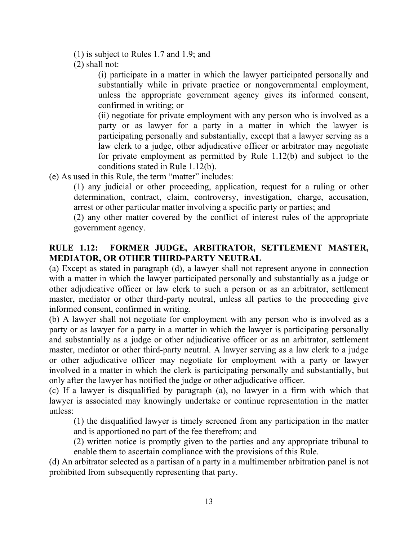(1) is subject to Rules 1.7 and 1.9; and

(2) shall not:

(i) participate in a matter in which the lawyer participated personally and substantially while in private practice or nongovernmental employment, unless the appropriate government agency gives its informed consent, confirmed in writing; or

(ii) negotiate for private employment with any person who is involved as a party or as lawyer for a party in a matter in which the lawyer is participating personally and substantially, except that a lawyer serving as a law clerk to a judge, other adjudicative officer or arbitrator may negotiate for private employment as permitted by Rule 1.12(b) and subject to the conditions stated in Rule 1.12(b).

(e) As used in this Rule, the term "matter" includes:

(1) any judicial or other proceeding, application, request for a ruling or other determination, contract, claim, controversy, investigation, charge, accusation, arrest or other particular matter involving a specific party or parties; and

(2) any other matter covered by the conflict of interest rules of the appropriate government agency.

### **RULE 1.12: FORMER JUDGE, ARBITRATOR, SETTLEMENT MASTER, MEDIATOR, OR OTHER THIRD-PARTY NEUTRAL**

(a) Except as stated in paragraph (d), a lawyer shall not represent anyone in connection with a matter in which the lawyer participated personally and substantially as a judge or other adjudicative officer or law clerk to such a person or as an arbitrator, settlement master, mediator or other third-party neutral, unless all parties to the proceeding give informed consent, confirmed in writing.

(b) A lawyer shall not negotiate for employment with any person who is involved as a party or as lawyer for a party in a matter in which the lawyer is participating personally and substantially as a judge or other adjudicative officer or as an arbitrator, settlement master, mediator or other third-party neutral. A lawyer serving as a law clerk to a judge or other adjudicative officer may negotiate for employment with a party or lawyer involved in a matter in which the clerk is participating personally and substantially, but only after the lawyer has notified the judge or other adjudicative officer.

(c) If a lawyer is disqualified by paragraph (a), no lawyer in a firm with which that lawyer is associated may knowingly undertake or continue representation in the matter unless:

(1) the disqualified lawyer is timely screened from any participation in the matter and is apportioned no part of the fee therefrom; and

(2) written notice is promptly given to the parties and any appropriate tribunal to enable them to ascertain compliance with the provisions of this Rule.

(d) An arbitrator selected as a partisan of a party in a multimember arbitration panel is not prohibited from subsequently representing that party.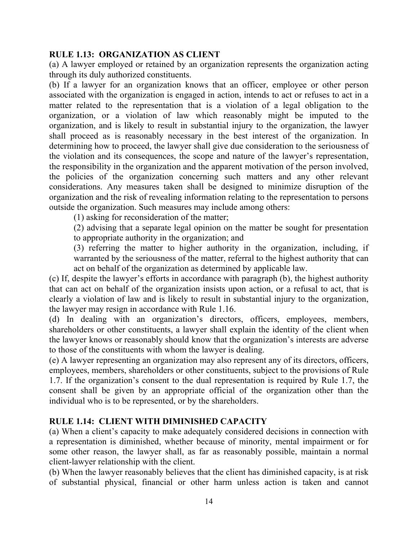#### **RULE 1.13: ORGANIZATION AS CLIENT**

(a) A lawyer employed or retained by an organization represents the organization acting through its duly authorized constituents.

(b) If a lawyer for an organization knows that an officer, employee or other person associated with the organization is engaged in action, intends to act or refuses to act in a matter related to the representation that is a violation of a legal obligation to the organization, or a violation of law which reasonably might be imputed to the organization, and is likely to result in substantial injury to the organization, the lawyer shall proceed as is reasonably necessary in the best interest of the organization. In determining how to proceed, the lawyer shall give due consideration to the seriousness of the violation and its consequences, the scope and nature of the lawyer's representation, the responsibility in the organization and the apparent motivation of the person involved, the policies of the organization concerning such matters and any other relevant considerations. Any measures taken shall be designed to minimize disruption of the organization and the risk of revealing information relating to the representation to persons outside the organization. Such measures may include among others:

(1) asking for reconsideration of the matter;

(2) advising that a separate legal opinion on the matter be sought for presentation to appropriate authority in the organization; and

(3) referring the matter to higher authority in the organization, including, if warranted by the seriousness of the matter, referral to the highest authority that can act on behalf of the organization as determined by applicable law.

(c) If, despite the lawyer's efforts in accordance with paragraph (b), the highest authority that can act on behalf of the organization insists upon action, or a refusal to act, that is clearly a violation of law and is likely to result in substantial injury to the organization, the lawyer may resign in accordance with Rule 1.16.

(d) In dealing with an organization's directors, officers, employees, members, shareholders or other constituents, a lawyer shall explain the identity of the client when the lawyer knows or reasonably should know that the organization's interests are adverse to those of the constituents with whom the lawyer is dealing.

(e) A lawyer representing an organization may also represent any of its directors, officers, employees, members, shareholders or other constituents, subject to the provisions of Rule 1.7. If the organization's consent to the dual representation is required by Rule 1.7, the consent shall be given by an appropriate official of the organization other than the individual who is to be represented, or by the shareholders.

#### **RULE 1.14: CLIENT WITH DIMINISHED CAPACITY**

(a) When a client's capacity to make adequately considered decisions in connection with a representation is diminished, whether because of minority, mental impairment or for some other reason, the lawyer shall, as far as reasonably possible, maintain a normal client-lawyer relationship with the client.

(b) When the lawyer reasonably believes that the client has diminished capacity, is at risk of substantial physical, financial or other harm unless action is taken and cannot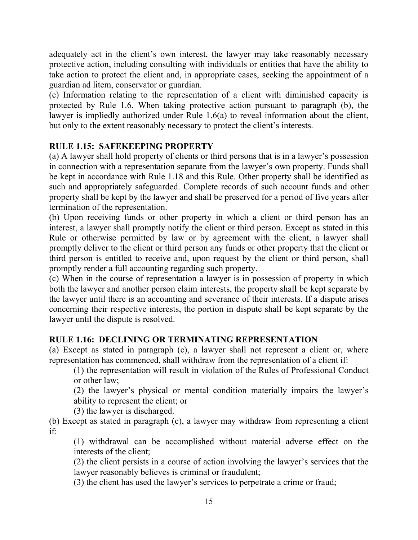adequately act in the client's own interest, the lawyer may take reasonably necessary protective action, including consulting with individuals or entities that have the ability to take action to protect the client and, in appropriate cases, seeking the appointment of a guardian ad litem, conservator or guardian.

(c) Information relating to the representation of a client with diminished capacity is protected by Rule 1.6. When taking protective action pursuant to paragraph (b), the lawyer is impliedly authorized under Rule 1.6(a) to reveal information about the client, but only to the extent reasonably necessary to protect the client's interests.

# **RULE 1.15: SAFEKEEPING PROPERTY**

(a) A lawyer shall hold property of clients or third persons that is in a lawyer's possession in connection with a representation separate from the lawyer's own property. Funds shall be kept in accordance with Rule 1.18 and this Rule. Other property shall be identified as such and appropriately safeguarded. Complete records of such account funds and other property shall be kept by the lawyer and shall be preserved for a period of five years after termination of the representation.

(b) Upon receiving funds or other property in which a client or third person has an interest, a lawyer shall promptly notify the client or third person. Except as stated in this Rule or otherwise permitted by law or by agreement with the client, a lawyer shall promptly deliver to the client or third person any funds or other property that the client or third person is entitled to receive and, upon request by the client or third person, shall promptly render a full accounting regarding such property.

(c) When in the course of representation a lawyer is in possession of property in which both the lawyer and another person claim interests, the property shall be kept separate by the lawyer until there is an accounting and severance of their interests. If a dispute arises concerning their respective interests, the portion in dispute shall be kept separate by the lawyer until the dispute is resolved.

# **RULE 1.16: DECLINING OR TERMINATING REPRESENTATION**

(a) Except as stated in paragraph (c), a lawyer shall not represent a client or, where representation has commenced, shall withdraw from the representation of a client if:

(1) the representation will result in violation of the Rules of Professional Conduct or other law;

(2) the lawyer's physical or mental condition materially impairs the lawyer's ability to represent the client; or

(3) the lawyer is discharged.

(b) Except as stated in paragraph (c), a lawyer may withdraw from representing a client if:

(1) withdrawal can be accomplished without material adverse effect on the interests of the client;

(2) the client persists in a course of action involving the lawyer's services that the lawyer reasonably believes is criminal or fraudulent;

(3) the client has used the lawyer's services to perpetrate a crime or fraud;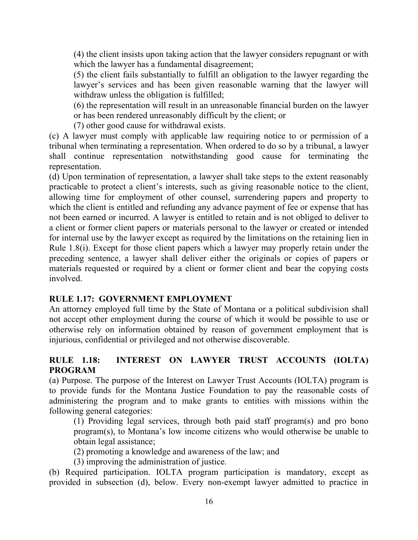(4) the client insists upon taking action that the lawyer considers repugnant or with which the lawyer has a fundamental disagreement;

(5) the client fails substantially to fulfill an obligation to the lawyer regarding the lawyer's services and has been given reasonable warning that the lawyer will withdraw unless the obligation is fulfilled;

(6) the representation will result in an unreasonable financial burden on the lawyer or has been rendered unreasonably difficult by the client; or

(7) other good cause for withdrawal exists.

(c) A lawyer must comply with applicable law requiring notice to or permission of a tribunal when terminating a representation. When ordered to do so by a tribunal, a lawyer shall continue representation notwithstanding good cause for terminating the representation.

(d) Upon termination of representation, a lawyer shall take steps to the extent reasonably practicable to protect a client's interests, such as giving reasonable notice to the client, allowing time for employment of other counsel, surrendering papers and property to which the client is entitled and refunding any advance payment of fee or expense that has not been earned or incurred. A lawyer is entitled to retain and is not obliged to deliver to a client or former client papers or materials personal to the lawyer or created or intended for internal use by the lawyer except as required by the limitations on the retaining lien in Rule 1.8(i). Except for those client papers which a lawyer may properly retain under the preceding sentence, a lawyer shall deliver either the originals or copies of papers or materials requested or required by a client or former client and bear the copying costs involved.

# **RULE 1.17: GOVERNMENT EMPLOYMENT**

An attorney employed full time by the State of Montana or a political subdivision shall not accept other employment during the course of which it would be possible to use or otherwise rely on information obtained by reason of government employment that is injurious, confidential or privileged and not otherwise discoverable.

# **RULE 1.18: INTEREST ON LAWYER TRUST ACCOUNTS (IOLTA) PROGRAM**

(a) Purpose. The purpose of the Interest on Lawyer Trust Accounts (IOLTA) program is to provide funds for the Montana Justice Foundation to pay the reasonable costs of administering the program and to make grants to entities with missions within the following general categories:

(1) Providing legal services, through both paid staff program(s) and pro bono program(s), to Montana's low income citizens who would otherwise be unable to obtain legal assistance;

(2) promoting a knowledge and awareness of the law; and

(3) improving the administration of justice.

(b) Required participation. IOLTA program participation is mandatory, except as provided in subsection (d), below. Every non-exempt lawyer admitted to practice in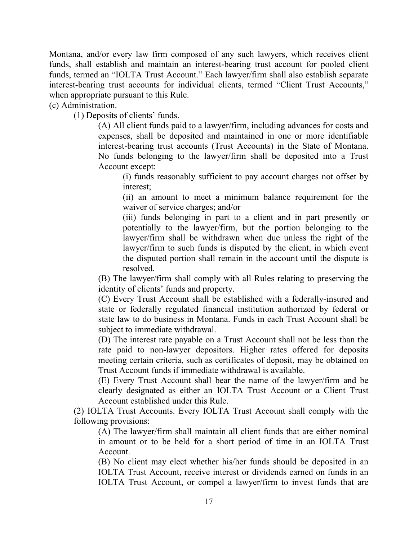Montana, and/or every law firm composed of any such lawyers, which receives client funds, shall establish and maintain an interest-bearing trust account for pooled client funds, termed an "IOLTA Trust Account." Each lawyer/firm shall also establish separate interest-bearing trust accounts for individual clients, termed "Client Trust Accounts," when appropriate pursuant to this Rule.

(c) Administration.

(1) Deposits of clients' funds.

(A) All client funds paid to a lawyer/firm, including advances for costs and expenses, shall be deposited and maintained in one or more identifiable interest-bearing trust accounts (Trust Accounts) in the State of Montana. No funds belonging to the lawyer/firm shall be deposited into a Trust Account except:

(i) funds reasonably sufficient to pay account charges not offset by interest;

(ii) an amount to meet a minimum balance requirement for the waiver of service charges; and/or

(iii) funds belonging in part to a client and in part presently or potentially to the lawyer/firm, but the portion belonging to the lawyer/firm shall be withdrawn when due unless the right of the lawyer/firm to such funds is disputed by the client, in which event the disputed portion shall remain in the account until the dispute is resolved.

(B) The lawyer/firm shall comply with all Rules relating to preserving the identity of clients' funds and property.

(C) Every Trust Account shall be established with a federally-insured and state or federally regulated financial institution authorized by federal or state law to do business in Montana. Funds in each Trust Account shall be subject to immediate withdrawal.

(D) The interest rate payable on a Trust Account shall not be less than the rate paid to non-lawyer depositors. Higher rates offered for deposits meeting certain criteria, such as certificates of deposit, may be obtained on Trust Account funds if immediate withdrawal is available.

(E) Every Trust Account shall bear the name of the lawyer/firm and be clearly designated as either an IOLTA Trust Account or a Client Trust Account established under this Rule.

(2) IOLTA Trust Accounts. Every IOLTA Trust Account shall comply with the following provisions:

(A) The lawyer/firm shall maintain all client funds that are either nominal in amount or to be held for a short period of time in an IOLTA Trust Account.

(B) No client may elect whether his/her funds should be deposited in an IOLTA Trust Account, receive interest or dividends earned on funds in an IOLTA Trust Account, or compel a lawyer/firm to invest funds that are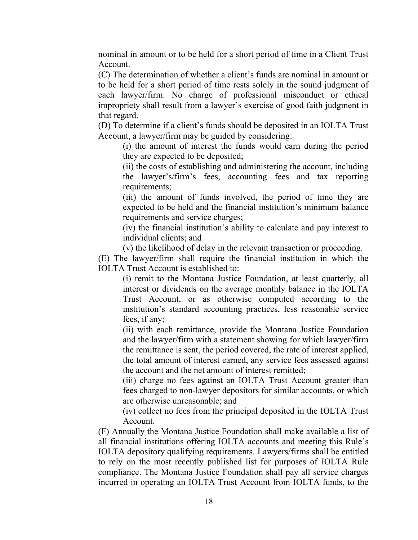nominal in amount or to be held for a short period of time in a Client Trust Account.

(C) The determination of whether a client's funds are nominal in amount or to be held for a short period of time rests solely in the sound judgment of each lawyer/firm. No charge of professional misconduct or ethical impropriety shall result from a lawyer's exercise of good faith judgment in that regard.

(D) To determine if a client's funds should be deposited in an IOLTA Trust Account, a lawyer/firm may be guided by considering:

(i) the amount of interest the funds would earn during the period they are expected to be deposited;

(ii) the costs of establishing and administering the account, including the lawyer's/firm's fees, accounting fees and tax reporting requirements;

(iii) the amount of funds involved, the period of time they are expected to be held and the financial institution's minimum balance requirements and service charges;

(iv) the financial institution's ability to calculate and pay interest to individual clients; and

(v) the likelihood of delay in the relevant transaction or proceeding.

(E) The lawyer/firm shall require the financial institution in which the IOLTA Trust Account is established to:

(i) remit to the Montana Justice Foundation, at least quarterly, all interest or dividends on the average monthly balance in the IOLTA Trust Account, or as otherwise computed according to the institution's standard accounting practices, less reasonable service fees, if any;

(ii) with each remittance, provide the Montana Justice Foundation and the lawyer/firm with a statement showing for which lawyer/firm the remittance is sent, the period covered, the rate of interest applied, the total amount of interest earned, any service fees assessed against the account and the net amount of interest remitted;

(iii) charge no fees against an IOLTA Trust Account greater than fees charged to non-lawyer depositors for similar accounts, or which are otherwise unreasonable; and

(iv) collect no fees from the principal deposited in the IOLTA Trust Account.

(F) Annually the Montana Justice Foundation shall make available a list of all financial institutions offering IOLTA accounts and meeting this Rule's IOLTA depository qualifying requirements. Lawyers/firms shall be entitled to rely on the most recently published list for purposes of IOLTA Rule compliance. The Montana Justice Foundation shall pay all service charges incurred in operating an IOLTA Trust Account from IOLTA funds, to the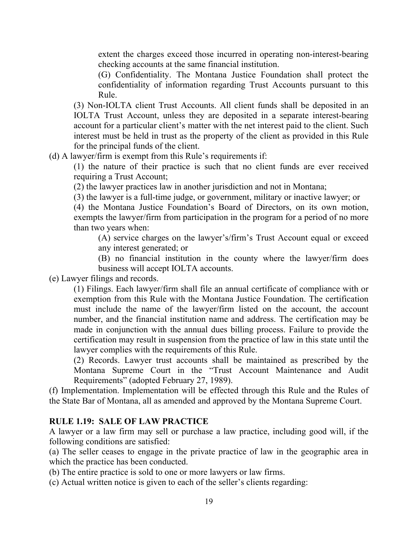extent the charges exceed those incurred in operating non-interest-bearing checking accounts at the same financial institution.

(G) Confidentiality. The Montana Justice Foundation shall protect the confidentiality of information regarding Trust Accounts pursuant to this Rule.

(3) Non-IOLTA client Trust Accounts. All client funds shall be deposited in an IOLTA Trust Account, unless they are deposited in a separate interest-bearing account for a particular client's matter with the net interest paid to the client. Such interest must be held in trust as the property of the client as provided in this Rule for the principal funds of the client.

(d) A lawyer/firm is exempt from this Rule's requirements if:

(1) the nature of their practice is such that no client funds are ever received requiring a Trust Account;

(2) the lawyer practices law in another jurisdiction and not in Montana;

(3) the lawyer is a full-time judge, or government, military or inactive lawyer; or

(4) the Montana Justice Foundation's Board of Directors, on its own motion, exempts the lawyer/firm from participation in the program for a period of no more than two years when:

(A) service charges on the lawyer's/firm's Trust Account equal or exceed any interest generated; or

(B) no financial institution in the county where the lawyer/firm does business will accept IOLTA accounts.

(e) Lawyer filings and records.

(1) Filings. Each lawyer/firm shall file an annual certificate of compliance with or exemption from this Rule with the Montana Justice Foundation. The certification must include the name of the lawyer/firm listed on the account, the account number, and the financial institution name and address. The certification may be made in conjunction with the annual dues billing process. Failure to provide the certification may result in suspension from the practice of law in this state until the lawyer complies with the requirements of this Rule.

(2) Records. Lawyer trust accounts shall be maintained as prescribed by the Montana Supreme Court in the "Trust Account Maintenance and Audit Requirements" (adopted February 27, 1989).

(f) Implementation. Implementation will be effected through this Rule and the Rules of the State Bar of Montana, all as amended and approved by the Montana Supreme Court.

#### **RULE 1.19: SALE OF LAW PRACTICE**

A lawyer or a law firm may sell or purchase a law practice, including good will, if the following conditions are satisfied:

(a) The seller ceases to engage in the private practice of law in the geographic area in which the practice has been conducted.

(b) The entire practice is sold to one or more lawyers or law firms.

(c) Actual written notice is given to each of the seller's clients regarding: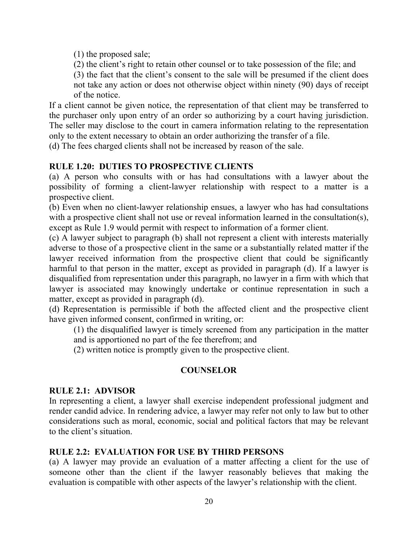(1) the proposed sale;

(2) the client's right to retain other counsel or to take possession of the file; and

(3) the fact that the client's consent to the sale will be presumed if the client does not take any action or does not otherwise object within ninety (90) days of receipt of the notice.

If a client cannot be given notice, the representation of that client may be transferred to the purchaser only upon entry of an order so authorizing by a court having jurisdiction. The seller may disclose to the court in camera information relating to the representation only to the extent necessary to obtain an order authorizing the transfer of a file.

(d) The fees charged clients shall not be increased by reason of the sale.

### **RULE 1.20: DUTIES TO PROSPECTIVE CLIENTS**

(a) A person who consults with or has had consultations with a lawyer about the possibility of forming a client-lawyer relationship with respect to a matter is a prospective client.

(b) Even when no client-lawyer relationship ensues, a lawyer who has had consultations with a prospective client shall not use or reveal information learned in the consultation(s), except as Rule 1.9 would permit with respect to information of a former client.

(c) A lawyer subject to paragraph (b) shall not represent a client with interests materially adverse to those of a prospective client in the same or a substantially related matter if the lawyer received information from the prospective client that could be significantly harmful to that person in the matter, except as provided in paragraph (d). If a lawyer is disqualified from representation under this paragraph, no lawyer in a firm with which that lawyer is associated may knowingly undertake or continue representation in such a matter, except as provided in paragraph (d).

(d) Representation is permissible if both the affected client and the prospective client have given informed consent, confirmed in writing, or:

(1) the disqualified lawyer is timely screened from any participation in the matter and is apportioned no part of the fee therefrom; and

(2) written notice is promptly given to the prospective client.

# **COUNSELOR**

#### **RULE 2.1: ADVISOR**

In representing a client, a lawyer shall exercise independent professional judgment and render candid advice. In rendering advice, a lawyer may refer not only to law but to other considerations such as moral, economic, social and political factors that may be relevant to the client's situation.

#### **RULE 2.2: EVALUATION FOR USE BY THIRD PERSONS**

(a) A lawyer may provide an evaluation of a matter affecting a client for the use of someone other than the client if the lawyer reasonably believes that making the evaluation is compatible with other aspects of the lawyer's relationship with the client.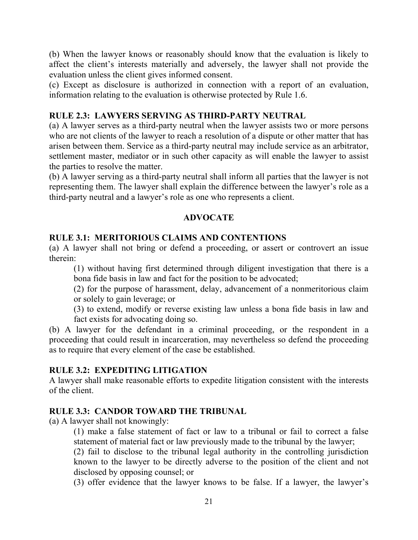(b) When the lawyer knows or reasonably should know that the evaluation is likely to affect the client's interests materially and adversely, the lawyer shall not provide the evaluation unless the client gives informed consent.

(c) Except as disclosure is authorized in connection with a report of an evaluation, information relating to the evaluation is otherwise protected by Rule 1.6.

# **RULE 2.3: LAWYERS SERVING AS THIRD-PARTY NEUTRAL**

(a) A lawyer serves as a third-party neutral when the lawyer assists two or more persons who are not clients of the lawyer to reach a resolution of a dispute or other matter that has arisen between them. Service as a third-party neutral may include service as an arbitrator, settlement master, mediator or in such other capacity as will enable the lawyer to assist the parties to resolve the matter.

(b) A lawyer serving as a third-party neutral shall inform all parties that the lawyer is not representing them. The lawyer shall explain the difference between the lawyer's role as a third-party neutral and a lawyer's role as one who represents a client.

#### **ADVOCATE**

#### **RULE 3.1: MERITORIOUS CLAIMS AND CONTENTIONS**

(a) A lawyer shall not bring or defend a proceeding, or assert or controvert an issue therein:

(1) without having first determined through diligent investigation that there is a bona fide basis in law and fact for the position to be advocated;

(2) for the purpose of harassment, delay, advancement of a nonmeritorious claim or solely to gain leverage; or

(3) to extend, modify or reverse existing law unless a bona fide basis in law and fact exists for advocating doing so.

(b) A lawyer for the defendant in a criminal proceeding, or the respondent in a proceeding that could result in incarceration, may nevertheless so defend the proceeding as to require that every element of the case be established.

#### **RULE 3.2: EXPEDITING LITIGATION**

A lawyer shall make reasonable efforts to expedite litigation consistent with the interests of the client.

#### **RULE 3.3: CANDOR TOWARD THE TRIBUNAL**

(a) A lawyer shall not knowingly:

(1) make a false statement of fact or law to a tribunal or fail to correct a false statement of material fact or law previously made to the tribunal by the lawyer;

(2) fail to disclose to the tribunal legal authority in the controlling jurisdiction known to the lawyer to be directly adverse to the position of the client and not disclosed by opposing counsel; or

(3) offer evidence that the lawyer knows to be false. If a lawyer, the lawyer's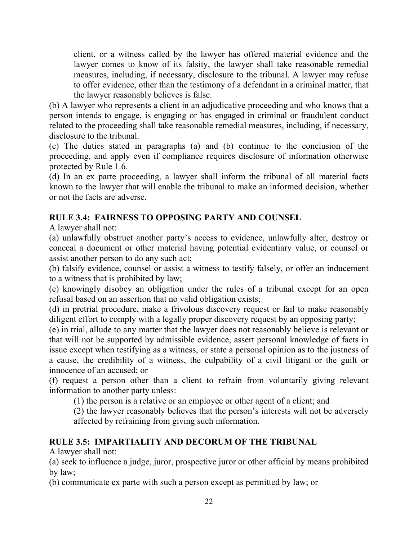client, or a witness called by the lawyer has offered material evidence and the lawyer comes to know of its falsity, the lawyer shall take reasonable remedial measures, including, if necessary, disclosure to the tribunal. A lawyer may refuse to offer evidence, other than the testimony of a defendant in a criminal matter, that the lawyer reasonably believes is false.

(b) A lawyer who represents a client in an adjudicative proceeding and who knows that a person intends to engage, is engaging or has engaged in criminal or fraudulent conduct related to the proceeding shall take reasonable remedial measures, including, if necessary, disclosure to the tribunal.

(c) The duties stated in paragraphs (a) and (b) continue to the conclusion of the proceeding, and apply even if compliance requires disclosure of information otherwise protected by Rule 1.6.

(d) In an ex parte proceeding, a lawyer shall inform the tribunal of all material facts known to the lawyer that will enable the tribunal to make an informed decision, whether or not the facts are adverse.

# **RULE 3.4: FAIRNESS TO OPPOSING PARTY AND COUNSEL**

A lawyer shall not:

(a) unlawfully obstruct another party's access to evidence, unlawfully alter, destroy or conceal a document or other material having potential evidentiary value, or counsel or assist another person to do any such act;

(b) falsify evidence, counsel or assist a witness to testify falsely, or offer an inducement to a witness that is prohibited by law;

(c) knowingly disobey an obligation under the rules of a tribunal except for an open refusal based on an assertion that no valid obligation exists;

(d) in pretrial procedure, make a frivolous discovery request or fail to make reasonably diligent effort to comply with a legally proper discovery request by an opposing party;

(e) in trial, allude to any matter that the lawyer does not reasonably believe is relevant or that will not be supported by admissible evidence, assert personal knowledge of facts in issue except when testifying as a witness, or state a personal opinion as to the justness of a cause, the credibility of a witness, the culpability of a civil litigant or the guilt or innocence of an accused; or

(f) request a person other than a client to refrain from voluntarily giving relevant information to another party unless:

(1) the person is a relative or an employee or other agent of a client; and

(2) the lawyer reasonably believes that the person's interests will not be adversely affected by refraining from giving such information.

# **RULE 3.5: IMPARTIALITY AND DECORUM OF THE TRIBUNAL**

A lawyer shall not:

(a) seek to influence a judge, juror, prospective juror or other official by means prohibited by law;

(b) communicate ex parte with such a person except as permitted by law; or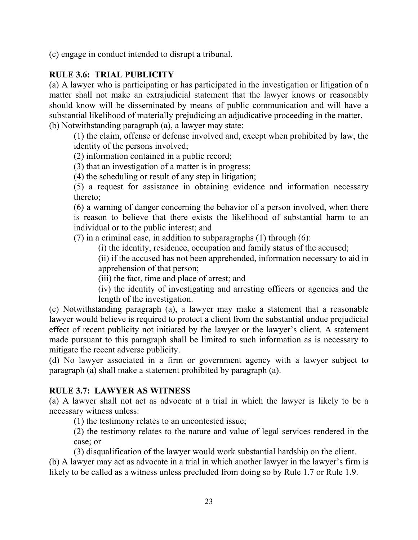(c) engage in conduct intended to disrupt a tribunal.

# **RULE 3.6: TRIAL PUBLICITY**

(a) A lawyer who is participating or has participated in the investigation or litigation of a matter shall not make an extrajudicial statement that the lawyer knows or reasonably should know will be disseminated by means of public communication and will have a substantial likelihood of materially prejudicing an adjudicative proceeding in the matter. (b) Notwithstanding paragraph (a), a lawyer may state:

(1) the claim, offense or defense involved and, except when prohibited by law, the identity of the persons involved;

(2) information contained in a public record;

(3) that an investigation of a matter is in progress;

(4) the scheduling or result of any step in litigation;

(5) a request for assistance in obtaining evidence and information necessary thereto;

(6) a warning of danger concerning the behavior of a person involved, when there is reason to believe that there exists the likelihood of substantial harm to an individual or to the public interest; and

(7) in a criminal case, in addition to subparagraphs (1) through (6):

(i) the identity, residence, occupation and family status of the accused;

(ii) if the accused has not been apprehended, information necessary to aid in apprehension of that person;

(iii) the fact, time and place of arrest; and

(iv) the identity of investigating and arresting officers or agencies and the length of the investigation.

(c) Notwithstanding paragraph (a), a lawyer may make a statement that a reasonable lawyer would believe is required to protect a client from the substantial undue prejudicial effect of recent publicity not initiated by the lawyer or the lawyer's client. A statement made pursuant to this paragraph shall be limited to such information as is necessary to mitigate the recent adverse publicity.

(d) No lawyer associated in a firm or government agency with a lawyer subject to paragraph (a) shall make a statement prohibited by paragraph (a).

# **RULE 3.7: LAWYER AS WITNESS**

(a) A lawyer shall not act as advocate at a trial in which the lawyer is likely to be a necessary witness unless:

(1) the testimony relates to an uncontested issue;

(2) the testimony relates to the nature and value of legal services rendered in the case; or

(3) disqualification of the lawyer would work substantial hardship on the client.

(b) A lawyer may act as advocate in a trial in which another lawyer in the lawyer's firm is likely to be called as a witness unless precluded from doing so by Rule 1.7 or Rule 1.9.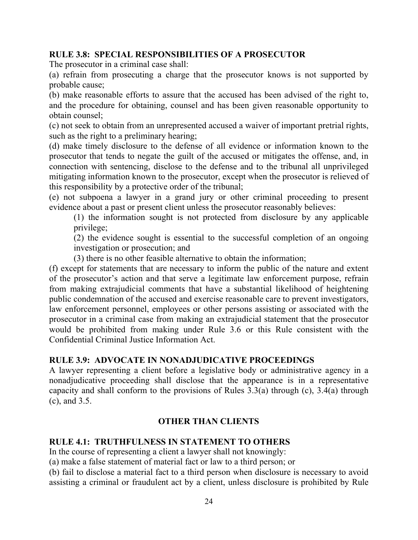#### **RULE 3.8: SPECIAL RESPONSIBILITIES OF A PROSECUTOR**

The prosecutor in a criminal case shall:

(a) refrain from prosecuting a charge that the prosecutor knows is not supported by probable cause;

(b) make reasonable efforts to assure that the accused has been advised of the right to, and the procedure for obtaining, counsel and has been given reasonable opportunity to obtain counsel;

(c) not seek to obtain from an unrepresented accused a waiver of important pretrial rights, such as the right to a preliminary hearing;

(d) make timely disclosure to the defense of all evidence or information known to the prosecutor that tends to negate the guilt of the accused or mitigates the offense, and, in connection with sentencing, disclose to the defense and to the tribunal all unprivileged mitigating information known to the prosecutor, except when the prosecutor is relieved of this responsibility by a protective order of the tribunal;

(e) not subpoena a lawyer in a grand jury or other criminal proceeding to present evidence about a past or present client unless the prosecutor reasonably believes:

(1) the information sought is not protected from disclosure by any applicable privilege;

(2) the evidence sought is essential to the successful completion of an ongoing investigation or prosecution; and

(3) there is no other feasible alternative to obtain the information;

(f) except for statements that are necessary to inform the public of the nature and extent of the prosecutor's action and that serve a legitimate law enforcement purpose, refrain from making extrajudicial comments that have a substantial likelihood of heightening public condemnation of the accused and exercise reasonable care to prevent investigators, law enforcement personnel, employees or other persons assisting or associated with the prosecutor in a criminal case from making an extrajudicial statement that the prosecutor would be prohibited from making under Rule 3.6 or this Rule consistent with the Confidential Criminal Justice Information Act.

#### **RULE 3.9: ADVOCATE IN NONADJUDICATIVE PROCEEDINGS**

A lawyer representing a client before a legislative body or administrative agency in a nonadjudicative proceeding shall disclose that the appearance is in a representative capacity and shall conform to the provisions of Rules 3.3(a) through (c), 3.4(a) through (c), and 3.5.

#### **OTHER THAN CLIENTS**

#### **RULE 4.1: TRUTHFULNESS IN STATEMENT TO OTHERS**

In the course of representing a client a lawyer shall not knowingly:

(a) make a false statement of material fact or law to a third person; or

(b) fail to disclose a material fact to a third person when disclosure is necessary to avoid assisting a criminal or fraudulent act by a client, unless disclosure is prohibited by Rule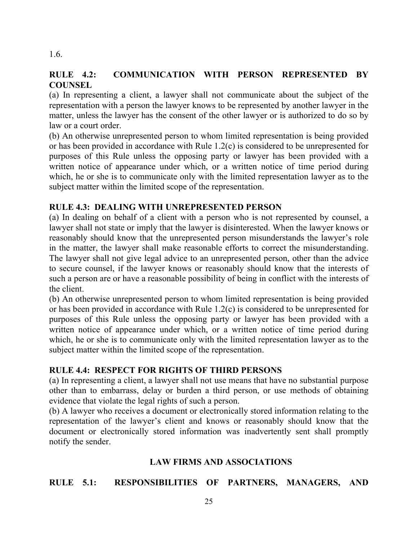### **RULE 4.2: COMMUNICATION WITH PERSON REPRESENTED BY COUNSEL**

(a) In representing a client, a lawyer shall not communicate about the subject of the representation with a person the lawyer knows to be represented by another lawyer in the matter, unless the lawyer has the consent of the other lawyer or is authorized to do so by law or a court order.

(b) An otherwise unrepresented person to whom limited representation is being provided or has been provided in accordance with Rule 1.2(c) is considered to be unrepresented for purposes of this Rule unless the opposing party or lawyer has been provided with a written notice of appearance under which, or a written notice of time period during which, he or she is to communicate only with the limited representation lawyer as to the subject matter within the limited scope of the representation.

### **RULE 4.3: DEALING WITH UNREPRESENTED PERSON**

(a) In dealing on behalf of a client with a person who is not represented by counsel, a lawyer shall not state or imply that the lawyer is disinterested. When the lawyer knows or reasonably should know that the unrepresented person misunderstands the lawyer's role in the matter, the lawyer shall make reasonable efforts to correct the misunderstanding. The lawyer shall not give legal advice to an unrepresented person, other than the advice to secure counsel, if the lawyer knows or reasonably should know that the interests of such a person are or have a reasonable possibility of being in conflict with the interests of the client.

(b) An otherwise unrepresented person to whom limited representation is being provided or has been provided in accordance with Rule 1.2(c) is considered to be unrepresented for purposes of this Rule unless the opposing party or lawyer has been provided with a written notice of appearance under which, or a written notice of time period during which, he or she is to communicate only with the limited representation lawyer as to the subject matter within the limited scope of the representation.

# **RULE 4.4: RESPECT FOR RIGHTS OF THIRD PERSONS**

(a) In representing a client, a lawyer shall not use means that have no substantial purpose other than to embarrass, delay or burden a third person, or use methods of obtaining evidence that violate the legal rights of such a person.

(b) A lawyer who receives a document or electronically stored information relating to the representation of the lawyer's client and knows or reasonably should know that the document or electronically stored information was inadvertently sent shall promptly notify the sender.

# **LAW FIRMS AND ASSOCIATIONS**

# **RULE 5.1: RESPONSIBILITIES OF PARTNERS, MANAGERS, AND**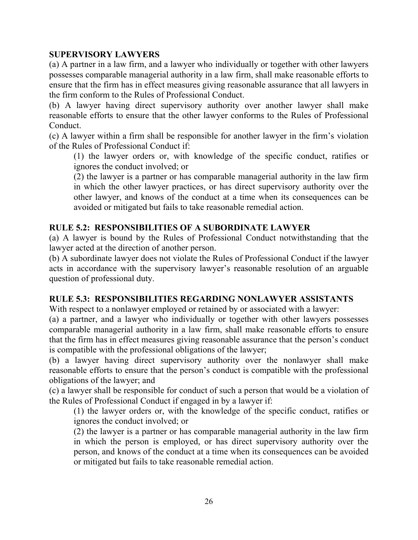#### **SUPERVISORY LAWYERS**

(a) A partner in a law firm, and a lawyer who individually or together with other lawyers possesses comparable managerial authority in a law firm, shall make reasonable efforts to ensure that the firm has in effect measures giving reasonable assurance that all lawyers in the firm conform to the Rules of Professional Conduct.

(b) A lawyer having direct supervisory authority over another lawyer shall make reasonable efforts to ensure that the other lawyer conforms to the Rules of Professional Conduct.

(c) A lawyer within a firm shall be responsible for another lawyer in the firm's violation of the Rules of Professional Conduct if:

(1) the lawyer orders or, with knowledge of the specific conduct, ratifies or ignores the conduct involved; or

(2) the lawyer is a partner or has comparable managerial authority in the law firm in which the other lawyer practices, or has direct supervisory authority over the other lawyer, and knows of the conduct at a time when its consequences can be avoided or mitigated but fails to take reasonable remedial action.

### **RULE 5.2: RESPONSIBILITIES OF A SUBORDINATE LAWYER**

(a) A lawyer is bound by the Rules of Professional Conduct notwithstanding that the lawyer acted at the direction of another person.

(b) A subordinate lawyer does not violate the Rules of Professional Conduct if the lawyer acts in accordance with the supervisory lawyer's reasonable resolution of an arguable question of professional duty.

#### **RULE 5.3: RESPONSIBILITIES REGARDING NONLAWYER ASSISTANTS**

With respect to a nonlawyer employed or retained by or associated with a lawyer:

(a) a partner, and a lawyer who individually or together with other lawyers possesses comparable managerial authority in a law firm, shall make reasonable efforts to ensure that the firm has in effect measures giving reasonable assurance that the person's conduct is compatible with the professional obligations of the lawyer;

(b) a lawyer having direct supervisory authority over the nonlawyer shall make reasonable efforts to ensure that the person's conduct is compatible with the professional obligations of the lawyer; and

(c) a lawyer shall be responsible for conduct of such a person that would be a violation of the Rules of Professional Conduct if engaged in by a lawyer if:

(1) the lawyer orders or, with the knowledge of the specific conduct, ratifies or ignores the conduct involved; or

(2) the lawyer is a partner or has comparable managerial authority in the law firm in which the person is employed, or has direct supervisory authority over the person, and knows of the conduct at a time when its consequences can be avoided or mitigated but fails to take reasonable remedial action.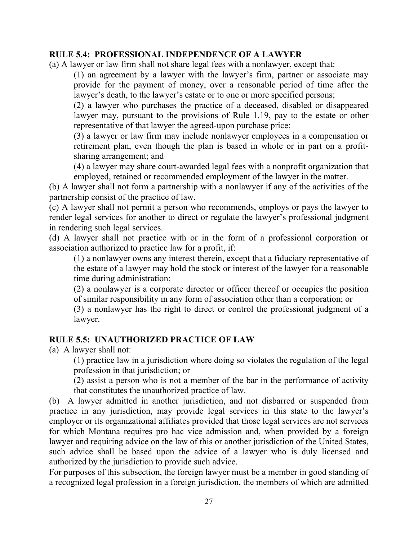### **RULE 5.4: PROFESSIONAL INDEPENDENCE OF A LAWYER**

(a) A lawyer or law firm shall not share legal fees with a nonlawyer, except that:

(1) an agreement by a lawyer with the lawyer's firm, partner or associate may provide for the payment of money, over a reasonable period of time after the lawyer's death, to the lawyer's estate or to one or more specified persons;

(2) a lawyer who purchases the practice of a deceased, disabled or disappeared lawyer may, pursuant to the provisions of Rule 1.19, pay to the estate or other representative of that lawyer the agreed-upon purchase price;

(3) a lawyer or law firm may include nonlawyer employees in a compensation or retirement plan, even though the plan is based in whole or in part on a profitsharing arrangement; and

(4) a lawyer may share court-awarded legal fees with a nonprofit organization that employed, retained or recommended employment of the lawyer in the matter.

(b) A lawyer shall not form a partnership with a nonlawyer if any of the activities of the partnership consist of the practice of law.

(c) A lawyer shall not permit a person who recommends, employs or pays the lawyer to render legal services for another to direct or regulate the lawyer's professional judgment in rendering such legal services.

(d) A lawyer shall not practice with or in the form of a professional corporation or association authorized to practice law for a profit, if:

(1) a nonlawyer owns any interest therein, except that a fiduciary representative of the estate of a lawyer may hold the stock or interest of the lawyer for a reasonable time during administration;

(2) a nonlawyer is a corporate director or officer thereof or occupies the position of similar responsibility in any form of association other than a corporation; or

(3) a nonlawyer has the right to direct or control the professional judgment of a lawyer.

#### **RULE 5.5: UNAUTHORIZED PRACTICE OF LAW**

(a) A lawyer shall not:

(1) practice law in a jurisdiction where doing so violates the regulation of the legal profession in that jurisdiction; or

(2) assist a person who is not a member of the bar in the performance of activity that constitutes the unauthorized practice of law.

(b) A lawyer admitted in another jurisdiction, and not disbarred or suspended from practice in any jurisdiction, may provide legal services in this state to the lawyer's employer or its organizational affiliates provided that those legal services are not services for which Montana requires pro hac vice admission and, when provided by a foreign lawyer and requiring advice on the law of this or another jurisdiction of the United States, such advice shall be based upon the advice of a lawyer who is duly licensed and authorized by the jurisdiction to provide such advice.

For purposes of this subsection, the foreign lawyer must be a member in good standing of a recognized legal profession in a foreign jurisdiction, the members of which are admitted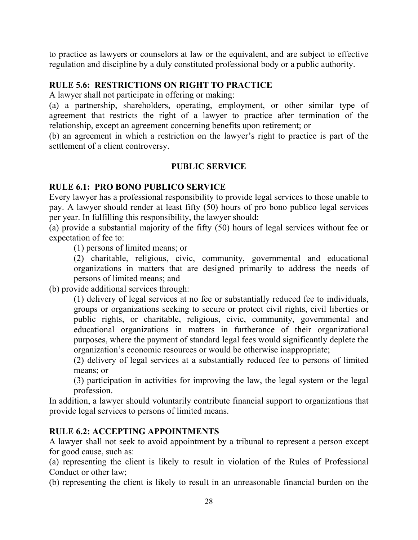to practice as lawyers or counselors at law or the equivalent, and are subject to effective regulation and discipline by a duly constituted professional body or a public authority.

### **RULE 5.6: RESTRICTIONS ON RIGHT TO PRACTICE**

A lawyer shall not participate in offering or making:

(a) a partnership, shareholders, operating, employment, or other similar type of agreement that restricts the right of a lawyer to practice after termination of the relationship, except an agreement concerning benefits upon retirement; or

(b) an agreement in which a restriction on the lawyer's right to practice is part of the settlement of a client controversy.

#### **PUBLIC SERVICE**

### **RULE 6.1: PRO BONO PUBLICO SERVICE**

Every lawyer has a professional responsibility to provide legal services to those unable to pay. A lawyer should render at least fifty (50) hours of pro bono publico legal services per year. In fulfilling this responsibility, the lawyer should:

(a) provide a substantial majority of the fifty (50) hours of legal services without fee or expectation of fee to:

(1) persons of limited means; or

(2) charitable, religious, civic, community, governmental and educational organizations in matters that are designed primarily to address the needs of persons of limited means; and

(b) provide additional services through:

(1) delivery of legal services at no fee or substantially reduced fee to individuals, groups or organizations seeking to secure or protect civil rights, civil liberties or public rights, or charitable, religious, civic, community, governmental and educational organizations in matters in furtherance of their organizational purposes, where the payment of standard legal fees would significantly deplete the organization's economic resources or would be otherwise inappropriate;

(2) delivery of legal services at a substantially reduced fee to persons of limited means; or

(3) participation in activities for improving the law, the legal system or the legal profession.

In addition, a lawyer should voluntarily contribute financial support to organizations that provide legal services to persons of limited means.

#### **RULE 6.2: ACCEPTING APPOINTMENTS**

A lawyer shall not seek to avoid appointment by a tribunal to represent a person except for good cause, such as:

(a) representing the client is likely to result in violation of the Rules of Professional Conduct or other law;

(b) representing the client is likely to result in an unreasonable financial burden on the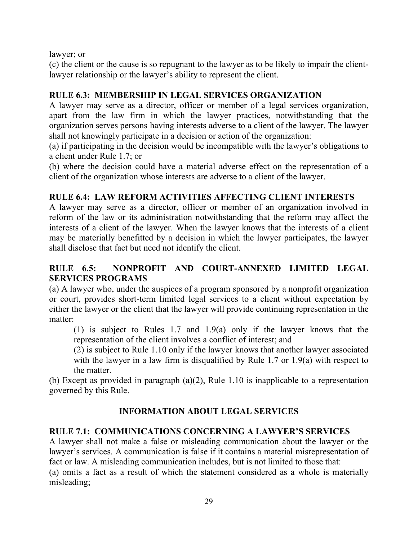lawyer; or

(c) the client or the cause is so repugnant to the lawyer as to be likely to impair the clientlawyer relationship or the lawyer's ability to represent the client.

### **RULE 6.3: MEMBERSHIP IN LEGAL SERVICES ORGANIZATION**

A lawyer may serve as a director, officer or member of a legal services organization, apart from the law firm in which the lawyer practices, notwithstanding that the organization serves persons having interests adverse to a client of the lawyer. The lawyer shall not knowingly participate in a decision or action of the organization:

(a) if participating in the decision would be incompatible with the lawyer's obligations to a client under Rule 1.7; or

(b) where the decision could have a material adverse effect on the representation of a client of the organization whose interests are adverse to a client of the lawyer.

# **RULE 6.4: LAW REFORM ACTIVITIES AFFECTING CLIENT INTERESTS**

A lawyer may serve as a director, officer or member of an organization involved in reform of the law or its administration notwithstanding that the reform may affect the interests of a client of the lawyer. When the lawyer knows that the interests of a client may be materially benefitted by a decision in which the lawyer participates, the lawyer shall disclose that fact but need not identify the client.

# **RULE 6.5: NONPROFIT AND COURT-ANNEXED LIMITED LEGAL SERVICES PROGRAMS**

(a) A lawyer who, under the auspices of a program sponsored by a nonprofit organization or court, provides short-term limited legal services to a client without expectation by either the lawyer or the client that the lawyer will provide continuing representation in the matter:

(1) is subject to Rules 1.7 and 1.9(a) only if the lawyer knows that the representation of the client involves a conflict of interest; and

(2) is subject to Rule 1.10 only if the lawyer knows that another lawyer associated with the lawyer in a law firm is disqualified by Rule 1.7 or 1.9(a) with respect to the matter.

(b) Except as provided in paragraph (a)(2), Rule 1.10 is inapplicable to a representation governed by this Rule.

# **INFORMATION ABOUT LEGAL SERVICES**

# **RULE 7.1: COMMUNICATIONS CONCERNING A LAWYER'S SERVICES**

A lawyer shall not make a false or misleading communication about the lawyer or the lawyer's services. A communication is false if it contains a material misrepresentation of fact or law. A misleading communication includes, but is not limited to those that: (a) omits a fact as a result of which the statement considered as a whole is materially misleading;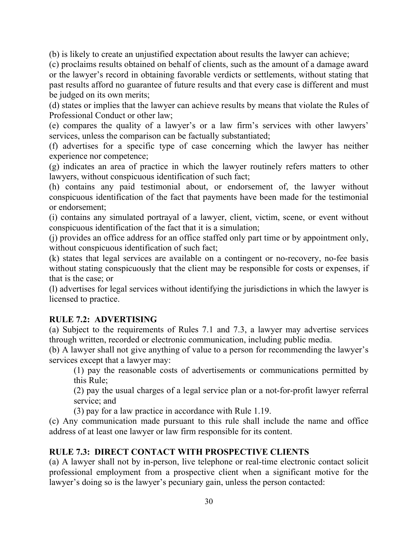(b) is likely to create an unjustified expectation about results the lawyer can achieve;

(c) proclaims results obtained on behalf of clients, such as the amount of a damage award or the lawyer's record in obtaining favorable verdicts or settlements, without stating that past results afford no guarantee of future results and that every case is different and must be judged on its own merits;

(d) states or implies that the lawyer can achieve results by means that violate the Rules of Professional Conduct or other law;

(e) compares the quality of a lawyer's or a law firm's services with other lawyers' services, unless the comparison can be factually substantiated;

(f) advertises for a specific type of case concerning which the lawyer has neither experience nor competence;

(g) indicates an area of practice in which the lawyer routinely refers matters to other lawyers, without conspicuous identification of such fact;

(h) contains any paid testimonial about, or endorsement of, the lawyer without conspicuous identification of the fact that payments have been made for the testimonial or endorsement;

(i) contains any simulated portrayal of a lawyer, client, victim, scene, or event without conspicuous identification of the fact that it is a simulation;

(j) provides an office address for an office staffed only part time or by appointment only, without conspicuous identification of such fact;

(k) states that legal services are available on a contingent or no-recovery, no-fee basis without stating conspicuously that the client may be responsible for costs or expenses, if that is the case; or

(l) advertises for legal services without identifying the jurisdictions in which the lawyer is licensed to practice.

# **RULE 7.2: ADVERTISING**

(a) Subject to the requirements of Rules 7.1 and 7.3, a lawyer may advertise services through written, recorded or electronic communication, including public media.

(b) A lawyer shall not give anything of value to a person for recommending the lawyer's services except that a lawyer may:

(1) pay the reasonable costs of advertisements or communications permitted by this Rule;

(2) pay the usual charges of a legal service plan or a not-for-profit lawyer referral service; and

(3) pay for a law practice in accordance with Rule 1.19.

(c) Any communication made pursuant to this rule shall include the name and office address of at least one lawyer or law firm responsible for its content.

# **RULE 7.3: DIRECT CONTACT WITH PROSPECTIVE CLIENTS**

(a) A lawyer shall not by in-person, live telephone or real-time electronic contact solicit professional employment from a prospective client when a significant motive for the lawyer's doing so is the lawyer's pecuniary gain, unless the person contacted: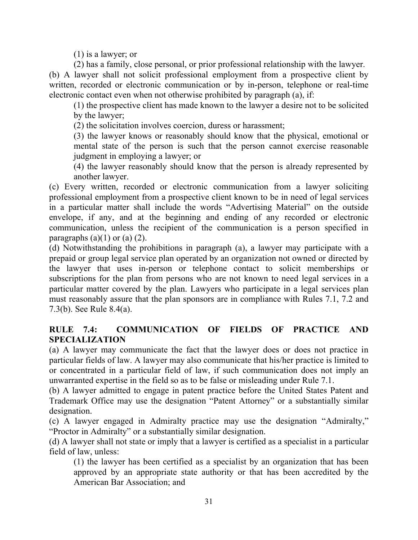(1) is a lawyer; or

(2) has a family, close personal, or prior professional relationship with the lawyer.

(b) A lawyer shall not solicit professional employment from a prospective client by written, recorded or electronic communication or by in-person, telephone or real-time electronic contact even when not otherwise prohibited by paragraph (a), if:

(1) the prospective client has made known to the lawyer a desire not to be solicited by the lawyer;

(2) the solicitation involves coercion, duress or harassment;

(3) the lawyer knows or reasonably should know that the physical, emotional or mental state of the person is such that the person cannot exercise reasonable judgment in employing a lawyer; or

(4) the lawyer reasonably should know that the person is already represented by another lawyer.

(c) Every written, recorded or electronic communication from a lawyer soliciting professional employment from a prospective client known to be in need of legal services in a particular matter shall include the words "Advertising Material" on the outside envelope, if any, and at the beginning and ending of any recorded or electronic communication, unless the recipient of the communication is a person specified in paragraphs  $(a)(1)$  or  $(a)(2)$ .

(d) Notwithstanding the prohibitions in paragraph (a), a lawyer may participate with a prepaid or group legal service plan operated by an organization not owned or directed by the lawyer that uses in-person or telephone contact to solicit memberships or subscriptions for the plan from persons who are not known to need legal services in a particular matter covered by the plan. Lawyers who participate in a legal services plan must reasonably assure that the plan sponsors are in compliance with Rules 7.1, 7.2 and 7.3(b). See Rule 8.4(a).

### **RULE 7.4: COMMUNICATION OF FIELDS OF PRACTICE AND SPECIALIZATION**

(a) A lawyer may communicate the fact that the lawyer does or does not practice in particular fields of law. A lawyer may also communicate that his/her practice is limited to or concentrated in a particular field of law, if such communication does not imply an unwarranted expertise in the field so as to be false or misleading under Rule 7.1.

(b) A lawyer admitted to engage in patent practice before the United States Patent and Trademark Office may use the designation "Patent Attorney" or a substantially similar designation.

(c) A lawyer engaged in Admiralty practice may use the designation "Admiralty," "Proctor in Admiralty" or a substantially similar designation.

(d) A lawyer shall not state or imply that a lawyer is certified as a specialist in a particular field of law, unless:

(1) the lawyer has been certified as a specialist by an organization that has been approved by an appropriate state authority or that has been accredited by the American Bar Association; and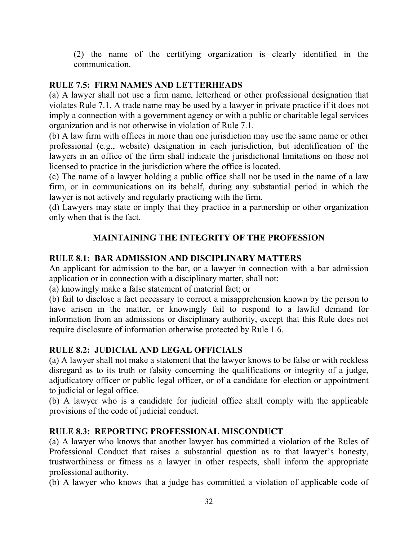(2) the name of the certifying organization is clearly identified in the communication.

### **RULE 7.5: FIRM NAMES AND LETTERHEADS**

(a) A lawyer shall not use a firm name, letterhead or other professional designation that violates Rule 7.1. A trade name may be used by a lawyer in private practice if it does not imply a connection with a government agency or with a public or charitable legal services organization and is not otherwise in violation of Rule 7.1.

(b) A law firm with offices in more than one jurisdiction may use the same name or other professional (e.g., website) designation in each jurisdiction, but identification of the lawyers in an office of the firm shall indicate the jurisdictional limitations on those not licensed to practice in the jurisdiction where the office is located.

(c) The name of a lawyer holding a public office shall not be used in the name of a law firm, or in communications on its behalf, during any substantial period in which the lawyer is not actively and regularly practicing with the firm.

(d) Lawyers may state or imply that they practice in a partnership or other organization only when that is the fact.

# **MAINTAINING THE INTEGRITY OF THE PROFESSION**

# **RULE 8.1: BAR ADMISSION AND DISCIPLINARY MATTERS**

An applicant for admission to the bar, or a lawyer in connection with a bar admission application or in connection with a disciplinary matter, shall not:

(a) knowingly make a false statement of material fact; or

(b) fail to disclose a fact necessary to correct a misapprehension known by the person to have arisen in the matter, or knowingly fail to respond to a lawful demand for information from an admissions or disciplinary authority, except that this Rule does not require disclosure of information otherwise protected by Rule 1.6.

# **RULE 8.2: JUDICIAL AND LEGAL OFFICIALS**

(a) A lawyer shall not make a statement that the lawyer knows to be false or with reckless disregard as to its truth or falsity concerning the qualifications or integrity of a judge, adjudicatory officer or public legal officer, or of a candidate for election or appointment to judicial or legal office.

(b) A lawyer who is a candidate for judicial office shall comply with the applicable provisions of the code of judicial conduct.

# **RULE 8.3: REPORTING PROFESSIONAL MISCONDUCT**

(a) A lawyer who knows that another lawyer has committed a violation of the Rules of Professional Conduct that raises a substantial question as to that lawyer's honesty, trustworthiness or fitness as a lawyer in other respects, shall inform the appropriate professional authority.

(b) A lawyer who knows that a judge has committed a violation of applicable code of